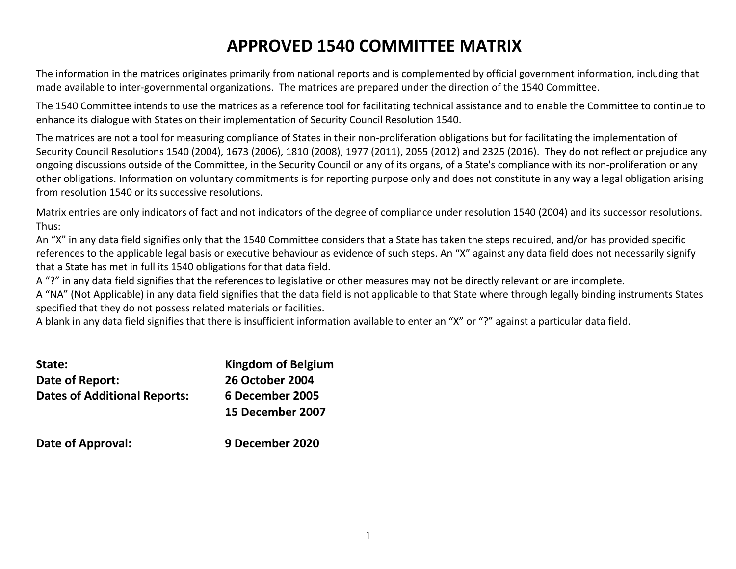## **APPROVED 1540 COMMITTEE MATRIX**

The information in the matrices originates primarily from national reports and is complemented by official government information, including that made available to inter-governmental organizations. The matrices are prepared under the direction of the 1540 Committee.

The 1540 Committee intends to use the matrices as a reference tool for facilitating technical assistance and to enable the Committee to continue to enhance its dialogue with States on their implementation of Security Council Resolution 1540.

The matrices are not a tool for measuring compliance of States in their non-proliferation obligations but for facilitating the implementation of Security Council Resolutions 1540 (2004), 1673 (2006), 1810 (2008), 1977 (2011), 2055 (2012) and 2325 (2016). They do not reflect or prejudice any ongoing discussions outside of the Committee, in the Security Council or any of its organs, of a State's compliance with its non-proliferation or any other obligations. Information on voluntary commitments is for reporting purpose only and does not constitute in any way a legal obligation arising from resolution 1540 or its successive resolutions.

Matrix entries are only indicators of fact and not indicators of the degree of compliance under resolution 1540 (2004) and its successor resolutions. Thus:

An "X" in any data field signifies only that the 1540 Committee considers that a State has taken the steps required, and/or has provided specific references to the applicable legal basis or executive behaviour as evidence of such steps. An "X" against any data field does not necessarily signify that a State has met in full its 1540 obligations for that data field.

A "?" in any data field signifies that the references to legislative or other measures may not be directly relevant or are incomplete.

A "NA" (Not Applicable) in any data field signifies that the data field is not applicable to that State where through legally binding instruments States specified that they do not possess related materials or facilities.

A blank in any data field signifies that there is insufficient information available to enter an "X" or "?" against a particular data field.

| State:                              | <b>Kingdom of Belgium</b> |
|-------------------------------------|---------------------------|
| Date of Report:                     | <b>26 October 2004</b>    |
| <b>Dates of Additional Reports:</b> | 6 December 2005           |
|                                     | 15 December 2007          |
|                                     |                           |
|                                     |                           |

**Date of Approval: 9 December 2020**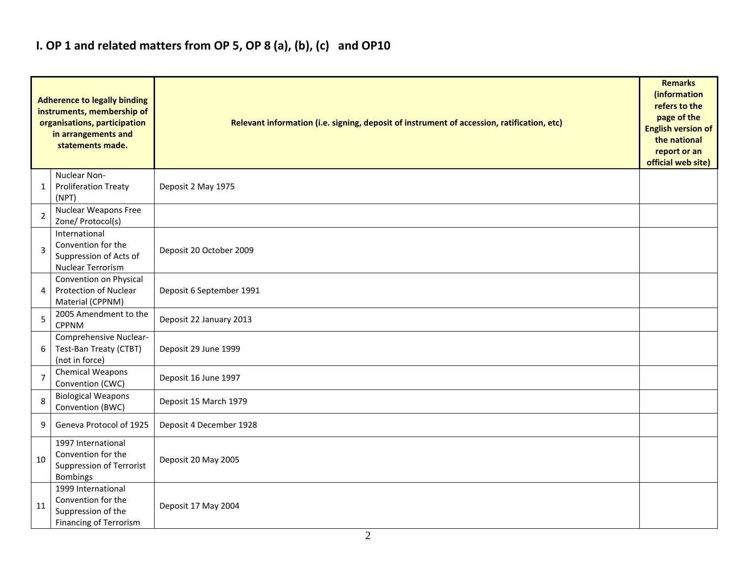### **I. OP 1 and related matters from OP 5, OP 8 (a), (b), (c) and OP10**

|                | <b>Adherence to legally binding</b><br>instruments, membership of<br>organisations, participation<br>in arrangements and<br>statements made. | Relevant information (i.e. signing, deposit of instrument of accession, ratification, etc) |  |  |  |  |  |  |  |  |
|----------------|----------------------------------------------------------------------------------------------------------------------------------------------|--------------------------------------------------------------------------------------------|--|--|--|--|--|--|--|--|
| 1              | Nuclear Non-<br><b>Proliferation Treaty</b><br>(NPT)                                                                                         | Deposit 2 May 1975                                                                         |  |  |  |  |  |  |  |  |
| 2              | Nuclear Weapons Free<br>Zone/ Protocol(s)                                                                                                    |                                                                                            |  |  |  |  |  |  |  |  |
| 3              | International<br>Convention for the<br>Suppression of Acts of<br><b>Nuclear Terrorism</b>                                                    | Deposit 20 October 2009                                                                    |  |  |  |  |  |  |  |  |
| 4              | Convention on Physical<br><b>Protection of Nuclear</b><br>Material (CPPNM)                                                                   | Deposit 6 September 1991                                                                   |  |  |  |  |  |  |  |  |
| 5              | 2005 Amendment to the<br><b>CPPNM</b>                                                                                                        | Deposit 22 January 2013                                                                    |  |  |  |  |  |  |  |  |
| 6              | Comprehensive Nuclear-<br>Test-Ban Treaty (CTBT)<br>(not in force)                                                                           | Deposit 29 June 1999                                                                       |  |  |  |  |  |  |  |  |
| $\overline{7}$ | Chemical Weapons<br>Convention (CWC)                                                                                                         | Deposit 16 June 1997                                                                       |  |  |  |  |  |  |  |  |
| 8              | <b>Biological Weapons</b><br>Convention (BWC)                                                                                                | Deposit 15 March 1979                                                                      |  |  |  |  |  |  |  |  |
| 9              | Geneva Protocol of 1925                                                                                                                      | Deposit 4 December 1928                                                                    |  |  |  |  |  |  |  |  |
| 10             | 1997 International<br>Convention for the<br><b>Suppression of Terrorist</b><br><b>Bombings</b>                                               | Deposit 20 May 2005                                                                        |  |  |  |  |  |  |  |  |
| 11             | 1999 International<br>Convention for the<br>Suppression of the<br><b>Financing of Terrorism</b>                                              | Deposit 17 May 2004                                                                        |  |  |  |  |  |  |  |  |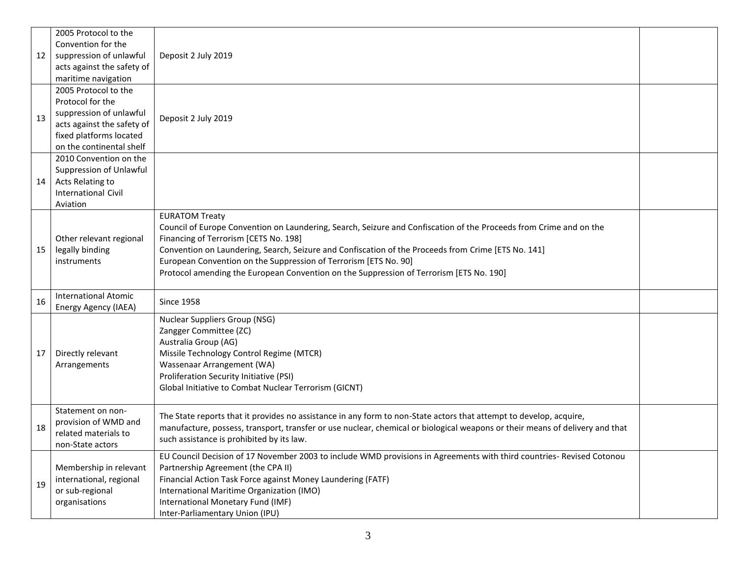| 12 | 2005 Protocol to the<br>Convention for the<br>suppression of unlawful<br>acts against the safety of<br>maritime navigation<br>2005 Protocol to the<br>Protocol for the<br>suppression of unlawful | Deposit 2 July 2019                                                                                                                                                                                                                                                                                                                                                                                                                                        |  |
|----|---------------------------------------------------------------------------------------------------------------------------------------------------------------------------------------------------|------------------------------------------------------------------------------------------------------------------------------------------------------------------------------------------------------------------------------------------------------------------------------------------------------------------------------------------------------------------------------------------------------------------------------------------------------------|--|
| 13 | acts against the safety of<br>fixed platforms located<br>on the continental shelf                                                                                                                 | Deposit 2 July 2019                                                                                                                                                                                                                                                                                                                                                                                                                                        |  |
| 14 | 2010 Convention on the<br>Suppression of Unlawful<br>Acts Relating to<br><b>International Civil</b><br>Aviation                                                                                   |                                                                                                                                                                                                                                                                                                                                                                                                                                                            |  |
| 15 | Other relevant regional<br>legally binding<br>instruments                                                                                                                                         | <b>EURATOM Treaty</b><br>Council of Europe Convention on Laundering, Search, Seizure and Confiscation of the Proceeds from Crime and on the<br>Financing of Terrorism [CETS No. 198]<br>Convention on Laundering, Search, Seizure and Confiscation of the Proceeds from Crime [ETS No. 141]<br>European Convention on the Suppression of Terrorism [ETS No. 90]<br>Protocol amending the European Convention on the Suppression of Terrorism [ETS No. 190] |  |
| 16 | <b>International Atomic</b><br>Energy Agency (IAEA)                                                                                                                                               | <b>Since 1958</b>                                                                                                                                                                                                                                                                                                                                                                                                                                          |  |
| 17 | Directly relevant<br>Arrangements                                                                                                                                                                 | <b>Nuclear Suppliers Group (NSG)</b><br>Zangger Committee (ZC)<br>Australia Group (AG)<br>Missile Technology Control Regime (MTCR)<br>Wassenaar Arrangement (WA)<br>Proliferation Security Initiative (PSI)<br>Global Initiative to Combat Nuclear Terrorism (GICNT)                                                                                                                                                                                       |  |
| 18 | Statement on non-<br>provision of WMD and<br>related materials to<br>non-State actors                                                                                                             | The State reports that it provides no assistance in any form to non-State actors that attempt to develop, acquire,<br>manufacture, possess, transport, transfer or use nuclear, chemical or biological weapons or their means of delivery and that<br>such assistance is prohibited by its law.                                                                                                                                                            |  |
| 19 | Membership in relevant<br>international, regional<br>or sub-regional<br>organisations                                                                                                             | EU Council Decision of 17 November 2003 to include WMD provisions in Agreements with third countries- Revised Cotonou<br>Partnership Agreement (the CPA II)<br>Financial Action Task Force against Money Laundering (FATF)<br>International Maritime Organization (IMO)<br>International Monetary Fund (IMF)<br>Inter-Parliamentary Union (IPU)                                                                                                            |  |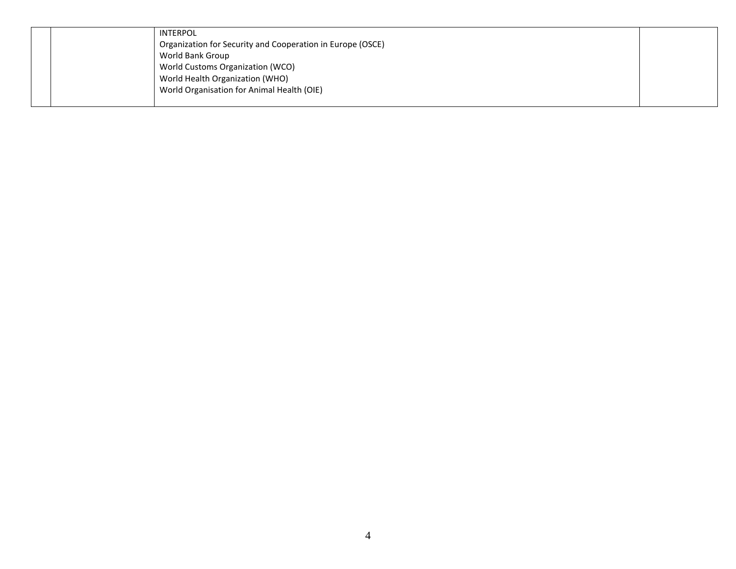|  | INTERPOL                                                   |  |
|--|------------------------------------------------------------|--|
|  | Organization for Security and Cooperation in Europe (OSCE) |  |
|  | World Bank Group                                           |  |
|  | World Customs Organization (WCO)                           |  |
|  | World Health Organization (WHO)                            |  |
|  | World Organisation for Animal Health (OIE)                 |  |
|  |                                                            |  |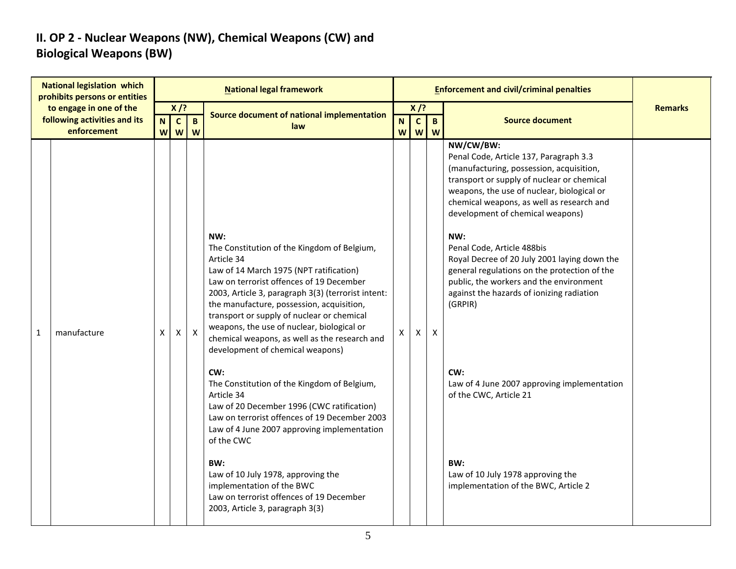#### **II. OP 2 - Nuclear Weapons (NW), Chemical Weapons (CW) and Biological Weapons (BW)**

| prohibits persons or entities<br>to engage in one of the<br>$X$ /?<br>$X$ /?                                                                                                                                                                                                                                                                                                                                                                                                                                                                                                                                                                                                                                                                                                                                                                                                                                                                                                                                                                                                                                                                                                                                                                                                                                                                                                                                                                                                                                                                                                                                                   | <b>Remarks</b> |
|--------------------------------------------------------------------------------------------------------------------------------------------------------------------------------------------------------------------------------------------------------------------------------------------------------------------------------------------------------------------------------------------------------------------------------------------------------------------------------------------------------------------------------------------------------------------------------------------------------------------------------------------------------------------------------------------------------------------------------------------------------------------------------------------------------------------------------------------------------------------------------------------------------------------------------------------------------------------------------------------------------------------------------------------------------------------------------------------------------------------------------------------------------------------------------------------------------------------------------------------------------------------------------------------------------------------------------------------------------------------------------------------------------------------------------------------------------------------------------------------------------------------------------------------------------------------------------------------------------------------------------|----------------|
| <b>Source document of national implementation</b><br>following activities and its<br>$\mathbf{B}$<br>$\mathbf{C}$<br>N.<br>$\mathbf{C}$<br>$\mathbf{B}$<br>N<br><b>Source document</b><br>law<br>enforcement<br><b>w w</b><br>W<br>W<br>W                                                                                                                                                                                                                                                                                                                                                                                                                                                                                                                                                                                                                                                                                                                                                                                                                                                                                                                                                                                                                                                                                                                                                                                                                                                                                                                                                                                      |                |
| NW/CW/BW:<br>Penal Code, Article 137, Paragraph 3.3<br>(manufacturing, possession, acquisition,<br>transport or supply of nuclear or chemical<br>weapons, the use of nuclear, biological or<br>chemical weapons, as well as research and<br>development of chemical weapons)<br>NW:<br>NW:<br>The Constitution of the Kingdom of Belgium,<br>Penal Code, Article 488bis<br>Article 34<br>Royal Decree of 20 July 2001 laying down the<br>general regulations on the protection of the<br>Law of 14 March 1975 (NPT ratification)<br>Law on terrorist offences of 19 December<br>public, the workers and the environment<br>against the hazards of ionizing radiation<br>2003, Article 3, paragraph 3(3) (terrorist intent:<br>the manufacture, possession, acquisition,<br>(GRPIR)<br>transport or supply of nuclear or chemical<br>weapons, the use of nuclear, biological or<br>manufacture<br>$\mathsf{X}$<br>$\mathsf{X}$<br>$\mathsf{X}$<br>X<br>$\mathbf{1}$<br>Χ<br>X<br>chemical weapons, as well as the research and<br>development of chemical weapons)<br>CW:<br>CW:<br>The Constitution of the Kingdom of Belgium,<br>Law of 4 June 2007 approving implementation<br>Article 34<br>of the CWC, Article 21<br>Law of 20 December 1996 (CWC ratification)<br>Law on terrorist offences of 19 December 2003<br>Law of 4 June 2007 approving implementation<br>of the CWC<br>BW:<br>BW:<br>Law of 10 July 1978, approving the<br>Law of 10 July 1978 approving the<br>implementation of the BWC<br>implementation of the BWC, Article 2<br>Law on terrorist offences of 19 December<br>2003, Article 3, paragraph 3(3) |                |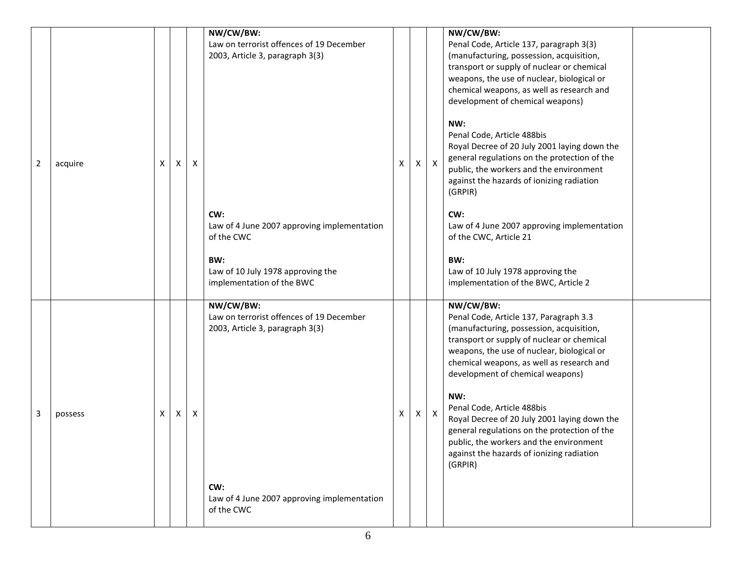| 2 | acquire | X | X | X | NW/CW/BW:<br>Law on terrorist offences of 19 December<br>2003, Article 3, paragraph 3(3)<br>CW:<br>Law of 4 June 2007 approving implementation<br>of the CWC<br>BW:<br>Law of 10 July 1978 approving the<br>implementation of the BWC | X | $\mathsf{X}^-$ | $\mathsf{x}$ | NW/CW/BW:<br>Penal Code, Article 137, paragraph 3(3)<br>(manufacturing, possession, acquisition,<br>transport or supply of nuclear or chemical<br>weapons, the use of nuclear, biological or<br>chemical weapons, as well as research and<br>development of chemical weapons)<br>NW:<br>Penal Code, Article 488bis<br>Royal Decree of 20 July 2001 laying down the<br>general regulations on the protection of the<br>public, the workers and the environment<br>against the hazards of ionizing radiation<br>(GRPIR)<br>CW:<br>Law of 4 June 2007 approving implementation<br>of the CWC, Article 21<br>BW:<br>Law of 10 July 1978 approving the<br>implementation of the BWC, Article 2 |  |
|---|---------|---|---|---|---------------------------------------------------------------------------------------------------------------------------------------------------------------------------------------------------------------------------------------|---|----------------|--------------|-------------------------------------------------------------------------------------------------------------------------------------------------------------------------------------------------------------------------------------------------------------------------------------------------------------------------------------------------------------------------------------------------------------------------------------------------------------------------------------------------------------------------------------------------------------------------------------------------------------------------------------------------------------------------------------------|--|
| 3 | possess | X | X | Χ | NW/CW/BW:<br>Law on terrorist offences of 19 December<br>2003, Article 3, paragraph 3(3)<br>CW:<br>Law of 4 June 2007 approving implementation<br>of the CWC                                                                          | X | $\mathsf{X}^-$ | $\mathsf{X}$ | NW/CW/BW:<br>Penal Code, Article 137, Paragraph 3.3<br>(manufacturing, possession, acquisition,<br>transport or supply of nuclear or chemical<br>weapons, the use of nuclear, biological or<br>chemical weapons, as well as research and<br>development of chemical weapons)<br>NW:<br>Penal Code, Article 488bis<br>Royal Decree of 20 July 2001 laying down the<br>general regulations on the protection of the<br>public, the workers and the environment<br>against the hazards of ionizing radiation<br>(GRPIR)                                                                                                                                                                      |  |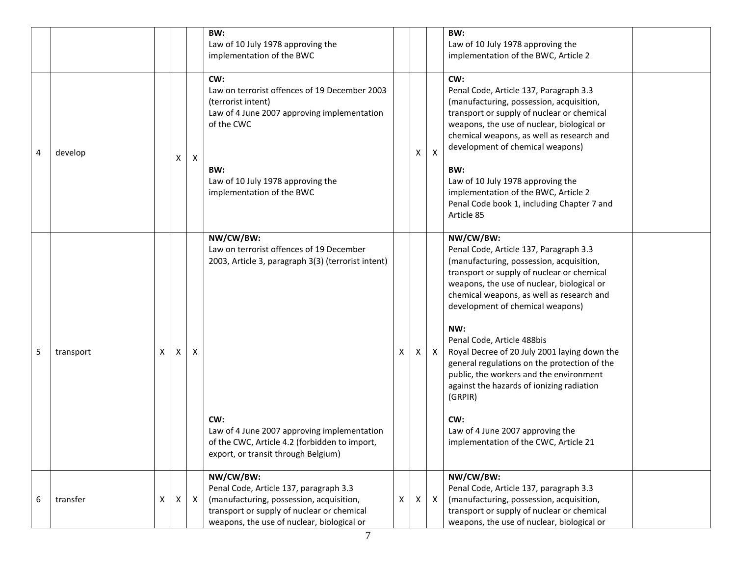|   |           |   |                           |              | BW:<br>Law of 10 July 1978 approving the<br>implementation of the BWC                                                                                                                                                                                     |   |   |                           | BW:<br>Law of 10 July 1978 approving the<br>implementation of the BWC, Article 2                                                                                                                                                                                                                                                                                                                                                                                                                                                                                                                         |  |
|---|-----------|---|---------------------------|--------------|-----------------------------------------------------------------------------------------------------------------------------------------------------------------------------------------------------------------------------------------------------------|---|---|---------------------------|----------------------------------------------------------------------------------------------------------------------------------------------------------------------------------------------------------------------------------------------------------------------------------------------------------------------------------------------------------------------------------------------------------------------------------------------------------------------------------------------------------------------------------------------------------------------------------------------------------|--|
| 4 | develop   |   | Χ                         | $\mathsf{X}$ | CW:<br>Law on terrorist offences of 19 December 2003<br>(terrorist intent)<br>Law of 4 June 2007 approving implementation<br>of the CWC<br>BW:<br>Law of 10 July 1978 approving the<br>implementation of the BWC                                          |   | Χ | $\boldsymbol{\mathsf{X}}$ | CW:<br>Penal Code, Article 137, Paragraph 3.3<br>(manufacturing, possession, acquisition,<br>transport or supply of nuclear or chemical<br>weapons, the use of nuclear, biological or<br>chemical weapons, as well as research and<br>development of chemical weapons)<br>BW:<br>Law of 10 July 1978 approving the<br>implementation of the BWC, Article 2<br>Penal Code book 1, including Chapter 7 and<br>Article 85                                                                                                                                                                                   |  |
| 5 | transport | X | $\boldsymbol{\mathsf{X}}$ | Χ            | NW/CW/BW:<br>Law on terrorist offences of 19 December<br>2003, Article 3, paragraph 3(3) (terrorist intent)<br>CW:<br>Law of 4 June 2007 approving implementation<br>of the CWC, Article 4.2 (forbidden to import,<br>export, or transit through Belgium) | X | X | $\mathsf{X}$              | NW/CW/BW:<br>Penal Code, Article 137, Paragraph 3.3<br>(manufacturing, possession, acquisition,<br>transport or supply of nuclear or chemical<br>weapons, the use of nuclear, biological or<br>chemical weapons, as well as research and<br>development of chemical weapons)<br>NW:<br>Penal Code, Article 488bis<br>Royal Decree of 20 July 2001 laying down the<br>general regulations on the protection of the<br>public, the workers and the environment<br>against the hazards of ionizing radiation<br>(GRPIR)<br>CW:<br>Law of 4 June 2007 approving the<br>implementation of the CWC, Article 21 |  |
| 6 | transfer  | X | $\boldsymbol{\mathsf{X}}$ | $\mathsf{X}$ | NW/CW/BW:<br>Penal Code, Article 137, paragraph 3.3<br>(manufacturing, possession, acquisition,<br>transport or supply of nuclear or chemical<br>weapons, the use of nuclear, biological or                                                               | X | X | $\mathsf{X}$              | NW/CW/BW:<br>Penal Code, Article 137, paragraph 3.3<br>(manufacturing, possession, acquisition,<br>transport or supply of nuclear or chemical<br>weapons, the use of nuclear, biological or                                                                                                                                                                                                                                                                                                                                                                                                              |  |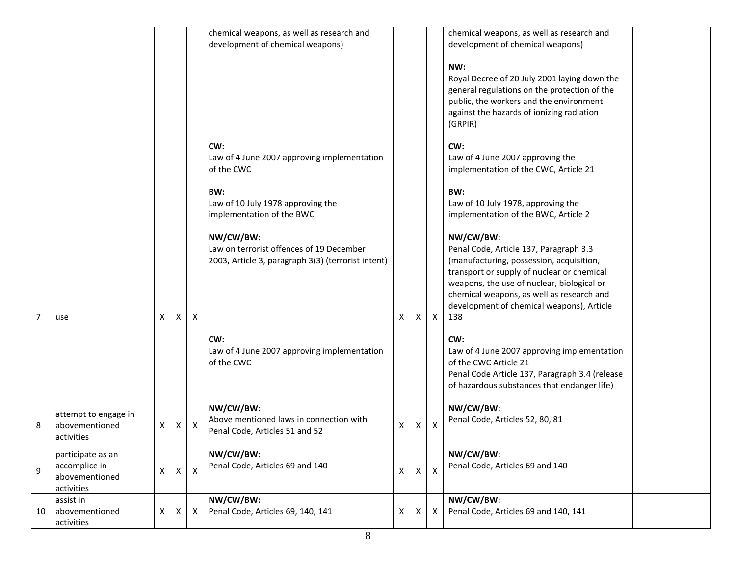|                |                                                                    |   |                |                    | chemical weapons, as well as research and<br>development of chemical weapons)                               |                    |    |                           | chemical weapons, as well as research and<br>development of chemical weapons)<br>NW:<br>Royal Decree of 20 July 2001 laying down the<br>general regulations on the protection of the<br>public, the workers and the environment<br>against the hazards of ionizing radiation<br>(GRPIR)      |  |
|----------------|--------------------------------------------------------------------|---|----------------|--------------------|-------------------------------------------------------------------------------------------------------------|--------------------|----|---------------------------|----------------------------------------------------------------------------------------------------------------------------------------------------------------------------------------------------------------------------------------------------------------------------------------------|--|
|                |                                                                    |   |                |                    | CW:<br>Law of 4 June 2007 approving implementation<br>of the CWC                                            |                    |    |                           | CW:<br>Law of 4 June 2007 approving the<br>implementation of the CWC, Article 21                                                                                                                                                                                                             |  |
|                |                                                                    |   |                |                    | BW:<br>Law of 10 July 1978 approving the<br>implementation of the BWC                                       |                    |    |                           | BW:<br>Law of 10 July 1978, approving the<br>implementation of the BWC, Article 2                                                                                                                                                                                                            |  |
| $\overline{7}$ | use                                                                | X | Χ              | X                  | NW/CW/BW:<br>Law on terrorist offences of 19 December<br>2003, Article 3, paragraph 3(3) (terrorist intent) | X                  | X. | $\boldsymbol{\mathsf{X}}$ | NW/CW/BW:<br>Penal Code, Article 137, Paragraph 3.3<br>(manufacturing, possession, acquisition,<br>transport or supply of nuclear or chemical<br>weapons, the use of nuclear, biological or<br>chemical weapons, as well as research and<br>development of chemical weapons), Article<br>138 |  |
|                |                                                                    |   |                |                    | CW:<br>Law of 4 June 2007 approving implementation<br>of the CWC                                            |                    |    |                           | CW:<br>Law of 4 June 2007 approving implementation<br>of the CWC Article 21<br>Penal Code Article 137, Paragraph 3.4 (release<br>of hazardous substances that endanger life)                                                                                                                 |  |
| 8              | attempt to engage in<br>abovementioned<br>activities               | Χ | X              | X                  | NW/CW/BW:<br>Above mentioned laws in connection with<br>Penal Code, Articles 51 and 52                      | X                  | X. | $\boldsymbol{\mathsf{X}}$ | NW/CW/BW:<br>Penal Code, Articles 52, 80, 81                                                                                                                                                                                                                                                 |  |
| 9              | participate as an<br>accomplice in<br>abovementioned<br>activities | X | $\pmb{\times}$ | $\pmb{\mathsf{X}}$ | NW/CW/BW:<br>Penal Code, Articles 69 and 140                                                                | $\pmb{\mathsf{X}}$ | X  | $\boldsymbol{\mathsf{X}}$ | NW/CW/BW:<br>Penal Code, Articles 69 and 140                                                                                                                                                                                                                                                 |  |
| 10             | assist in<br>abovementioned<br>activities                          | Χ | Х              | Х                  | NW/CW/BW:<br>Penal Code, Articles 69, 140, 141                                                              | X                  | X. | $\boldsymbol{\mathsf{X}}$ | NW/CW/BW:<br>Penal Code, Articles 69 and 140, 141                                                                                                                                                                                                                                            |  |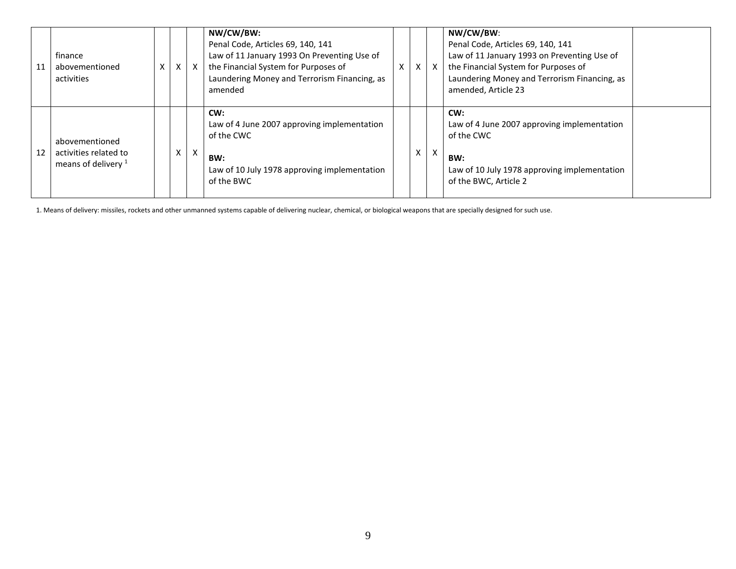| 11 | finance<br>abovementioned<br>activities                          | X | $\times$ | $\mathsf{X}$ | NW/CW/BW:<br>Penal Code, Articles 69, 140, 141<br>Law of 11 January 1993 On Preventing Use of<br>the Financial System for Purposes of<br>Laundering Money and Terrorism Financing, as<br>amended | $\times$ | X | $\mathsf{X}$              | NW/CW/BW:<br>Penal Code, Articles 69, 140, 141<br>Law of 11 January 1993 on Preventing Use of<br>the Financial System for Purposes of<br>Laundering Money and Terrorism Financing, as<br>amended, Article 23 |  |
|----|------------------------------------------------------------------|---|----------|--------------|--------------------------------------------------------------------------------------------------------------------------------------------------------------------------------------------------|----------|---|---------------------------|--------------------------------------------------------------------------------------------------------------------------------------------------------------------------------------------------------------|--|
| 12 | abovementioned<br>activities related to<br>means of delivery $1$ |   | Χ        | X            | CW:<br>Law of 4 June 2007 approving implementation<br>of the CWC<br>BW:<br>Law of 10 July 1978 approving implementation<br>of the BWC                                                            |          | X | $\boldsymbol{\mathsf{X}}$ | CW:<br>Law of 4 June 2007 approving implementation<br>of the CWC<br>BW:<br>Law of 10 July 1978 approving implementation<br>of the BWC, Article 2                                                             |  |

1. Means of delivery: missiles, rockets and other unmanned systems capable of delivering nuclear, chemical, or biological weapons that are specially designed for such use.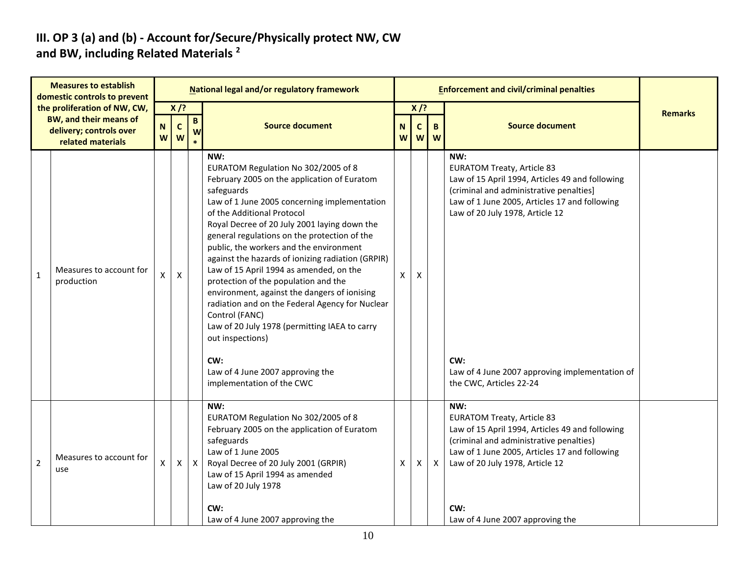#### **III. OP 3 (a) and (b) - Account for/Secure/Physically protect NW, CW and BW, including Related Materials <sup>2</sup>**

| <b>Measures to establish</b><br>domestic controls to prevent |                                                                                                               | National legal and/or regulatory framework |                            |                  |                                                                                                                                                                                                                                                                                                                                                                                                                                                                                                                                                                                                                                                                                                               |        |                             |              | <b>Enforcement and civil/criminal penalties</b>                                                                                                                                                                                                                                     |                |  |
|--------------------------------------------------------------|---------------------------------------------------------------------------------------------------------------|--------------------------------------------|----------------------------|------------------|---------------------------------------------------------------------------------------------------------------------------------------------------------------------------------------------------------------------------------------------------------------------------------------------------------------------------------------------------------------------------------------------------------------------------------------------------------------------------------------------------------------------------------------------------------------------------------------------------------------------------------------------------------------------------------------------------------------|--------|-----------------------------|--------------|-------------------------------------------------------------------------------------------------------------------------------------------------------------------------------------------------------------------------------------------------------------------------------------|----------------|--|
|                                                              | the proliferation of NW, CW,<br><b>BW, and their means of</b><br>delivery; controls over<br>related materials | N<br>W                                     | $X$ /?<br>$\mathbf c$<br>W | B<br>W           | <b>Source document</b>                                                                                                                                                                                                                                                                                                                                                                                                                                                                                                                                                                                                                                                                                        | N<br>W | $X$ /?<br>$\mathsf{C}$<br>W | B<br>W       | <b>Source document</b>                                                                                                                                                                                                                                                              | <b>Remarks</b> |  |
| $\mathbf{1}$                                                 | Measures to account for<br>production                                                                         | X                                          | $\mathsf X$                |                  | NW:<br>EURATOM Regulation No 302/2005 of 8<br>February 2005 on the application of Euratom<br>safeguards<br>Law of 1 June 2005 concerning implementation<br>of the Additional Protocol<br>Royal Decree of 20 July 2001 laying down the<br>general regulations on the protection of the<br>public, the workers and the environment<br>against the hazards of ionizing radiation (GRPIR)<br>Law of 15 April 1994 as amended, on the<br>protection of the population and the<br>environment, against the dangers of ionising<br>radiation and on the Federal Agency for Nuclear<br>Control (FANC)<br>Law of 20 July 1978 (permitting IAEA to carry<br>out inspections)<br>CW:<br>Law of 4 June 2007 approving the | X      | X                           |              | NW:<br><b>EURATOM Treaty, Article 83</b><br>Law of 15 April 1994, Articles 49 and following<br>(criminal and administrative penalties)<br>Law of 1 June 2005, Articles 17 and following<br>Law of 20 July 1978, Article 12<br>CW:<br>Law of 4 June 2007 approving implementation of |                |  |
|                                                              |                                                                                                               |                                            |                            |                  | implementation of the CWC                                                                                                                                                                                                                                                                                                                                                                                                                                                                                                                                                                                                                                                                                     |        |                             |              | the CWC, Articles 22-24                                                                                                                                                                                                                                                             |                |  |
| $\overline{2}$                                               | Measures to account for<br>use                                                                                | X                                          | $\mathsf{X}$               | $\boldsymbol{X}$ | NW:<br>EURATOM Regulation No 302/2005 of 8<br>February 2005 on the application of Euratom<br>safeguards<br>Law of 1 June 2005<br>Royal Decree of 20 July 2001 (GRPIR)<br>Law of 15 April 1994 as amended<br>Law of 20 July 1978<br>CW:<br>Law of 4 June 2007 approving the                                                                                                                                                                                                                                                                                                                                                                                                                                    | X      | X                           | $\mathsf{X}$ | NW:<br><b>EURATOM Treaty, Article 83</b><br>Law of 15 April 1994, Articles 49 and following<br>(criminal and administrative penalties)<br>Law of 1 June 2005, Articles 17 and following<br>Law of 20 July 1978, Article 12<br>CW:<br>Law of 4 June 2007 approving the               |                |  |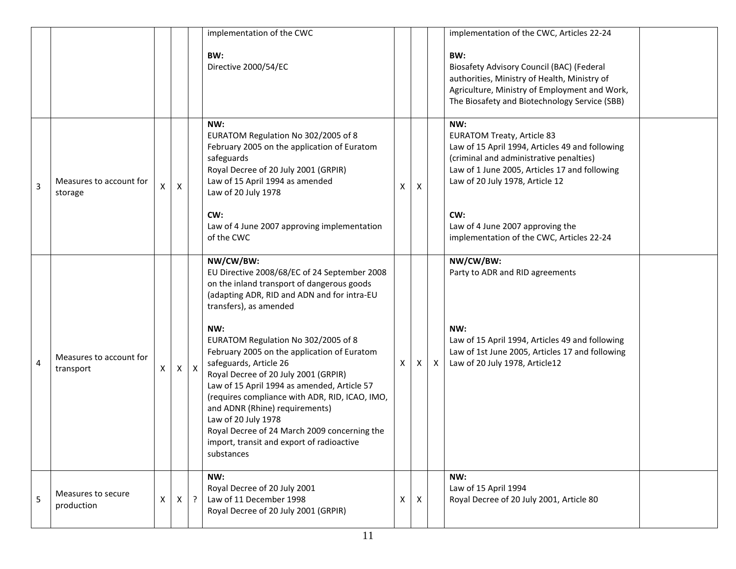|                |                                      |   |                    |                           | implementation of the CWC<br>BW:<br>Directive 2000/54/EC                                                                                                                                                                                                                                                                                                                                                                                                                                                                                                                                                             |   |              |              | implementation of the CWC, Articles 22-24<br>BW:<br><b>Biosafety Advisory Council (BAC) (Federal</b><br>authorities, Ministry of Health, Ministry of<br>Agriculture, Ministry of Employment and Work,<br>The Biosafety and Biotechnology Service (SBB)                                                             |  |
|----------------|--------------------------------------|---|--------------------|---------------------------|----------------------------------------------------------------------------------------------------------------------------------------------------------------------------------------------------------------------------------------------------------------------------------------------------------------------------------------------------------------------------------------------------------------------------------------------------------------------------------------------------------------------------------------------------------------------------------------------------------------------|---|--------------|--------------|--------------------------------------------------------------------------------------------------------------------------------------------------------------------------------------------------------------------------------------------------------------------------------------------------------------------|--|
| 3              | Measures to account for<br>storage   | X | $\pmb{\mathsf{X}}$ |                           | NW:<br>EURATOM Regulation No 302/2005 of 8<br>February 2005 on the application of Euratom<br>safeguards<br>Royal Decree of 20 July 2001 (GRPIR)<br>Law of 15 April 1994 as amended<br>Law of 20 July 1978<br>CW:<br>Law of 4 June 2007 approving implementation<br>of the CWC                                                                                                                                                                                                                                                                                                                                        | х | X            |              | NW:<br><b>EURATOM Treaty, Article 83</b><br>Law of 15 April 1994, Articles 49 and following<br>(criminal and administrative penalties)<br>Law of 1 June 2005, Articles 17 and following<br>Law of 20 July 1978, Article 12<br>CW:<br>Law of 4 June 2007 approving the<br>implementation of the CWC, Articles 22-24 |  |
| $\overline{4}$ | Measures to account for<br>transport | x | X                  | $\boldsymbol{\mathsf{X}}$ | NW/CW/BW:<br>EU Directive 2008/68/EC of 24 September 2008<br>on the inland transport of dangerous goods<br>(adapting ADR, RID and ADN and for intra-EU<br>transfers), as amended<br>NW:<br>EURATOM Regulation No 302/2005 of 8<br>February 2005 on the application of Euratom<br>safeguards, Article 26<br>Royal Decree of 20 July 2001 (GRPIR)<br>Law of 15 April 1994 as amended, Article 57<br>(requires compliance with ADR, RID, ICAO, IMO,<br>and ADNR (Rhine) requirements)<br>Law of 20 July 1978<br>Royal Decree of 24 March 2009 concerning the<br>import, transit and export of radioactive<br>substances | X | X I          | $\mathsf{X}$ | NW/CW/BW:<br>Party to ADR and RID agreements<br>NW:<br>Law of 15 April 1994, Articles 49 and following<br>Law of 1st June 2005, Articles 17 and following<br>Law of 20 July 1978, Article12                                                                                                                        |  |
| 5              | Measures to secure<br>production     | X | $\mathsf{X}$       | $\cdot$                   | NW:<br>Royal Decree of 20 July 2001<br>Law of 11 December 1998<br>Royal Decree of 20 July 2001 (GRPIR)                                                                                                                                                                                                                                                                                                                                                                                                                                                                                                               | X | $\mathsf{X}$ |              | NW:<br>Law of 15 April 1994<br>Royal Decree of 20 July 2001, Article 80                                                                                                                                                                                                                                            |  |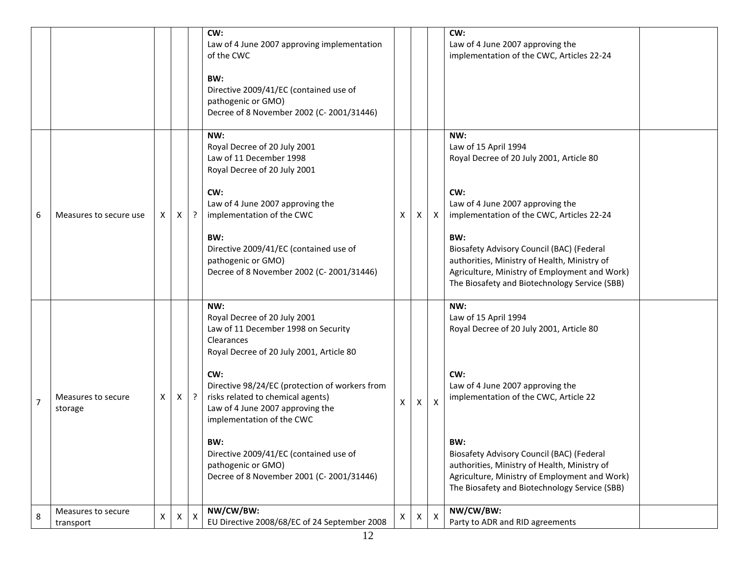|                |                                 |   |              |         | CW:<br>Law of 4 June 2007 approving implementation<br>of the CWC<br>BW:<br>Directive 2009/41/EC (contained use of<br>pathogenic or GMO)<br>Decree of 8 November 2002 (C-2001/31446)                                                                                                                                                                                                                                    |   |    |                           | CW:<br>Law of 4 June 2007 approving the<br>implementation of the CWC, Articles 22-24                                                                                                                                                                                                                                                                                         |  |
|----------------|---------------------------------|---|--------------|---------|------------------------------------------------------------------------------------------------------------------------------------------------------------------------------------------------------------------------------------------------------------------------------------------------------------------------------------------------------------------------------------------------------------------------|---|----|---------------------------|------------------------------------------------------------------------------------------------------------------------------------------------------------------------------------------------------------------------------------------------------------------------------------------------------------------------------------------------------------------------------|--|
| 6              | Measures to secure use          | x | X            |         | NW:<br>Royal Decree of 20 July 2001<br>Law of 11 December 1998<br>Royal Decree of 20 July 2001<br>CW:<br>Law of 4 June 2007 approving the<br>implementation of the CWC<br>BW:<br>Directive 2009/41/EC (contained use of<br>pathogenic or GMO)<br>Decree of 8 November 2002 (C-2001/31446)                                                                                                                              | X | X. | $\mathsf{X}$              | NW:<br>Law of 15 April 1994<br>Royal Decree of 20 July 2001, Article 80<br>CW:<br>Law of 4 June 2007 approving the<br>implementation of the CWC, Articles 22-24<br>BW:<br><b>Biosafety Advisory Council (BAC) (Federal</b><br>authorities, Ministry of Health, Ministry of<br>Agriculture, Ministry of Employment and Work)<br>The Biosafety and Biotechnology Service (SBB) |  |
| $\overline{7}$ | Measures to secure<br>storage   | X | X.           | $\cdot$ | NW:<br>Royal Decree of 20 July 2001<br>Law of 11 December 1998 on Security<br>Clearances<br>Royal Decree of 20 July 2001, Article 80<br>CW:<br>Directive 98/24/EC (protection of workers from<br>risks related to chemical agents)<br>Law of 4 June 2007 approving the<br>implementation of the CWC<br>BW:<br>Directive 2009/41/EC (contained use of<br>pathogenic or GMO)<br>Decree of 8 November 2001 (C-2001/31446) | X | X  | $\boldsymbol{\mathsf{X}}$ | NW:<br>Law of 15 April 1994<br>Royal Decree of 20 July 2001, Article 80<br>CW:<br>Law of 4 June 2007 approving the<br>implementation of the CWC, Article 22<br>BW:<br>Biosafety Advisory Council (BAC) (Federal<br>authorities, Ministry of Health, Ministry of<br>Agriculture, Ministry of Employment and Work)<br>The Biosafety and Biotechnology Service (SBB)            |  |
| 8              | Measures to secure<br>transport | X | $\mathsf{X}$ | X       | NW/CW/BW:<br>EU Directive 2008/68/EC of 24 September 2008                                                                                                                                                                                                                                                                                                                                                              | X | X  | $\mathsf{X}$              | NW/CW/BW:<br>Party to ADR and RID agreements                                                                                                                                                                                                                                                                                                                                 |  |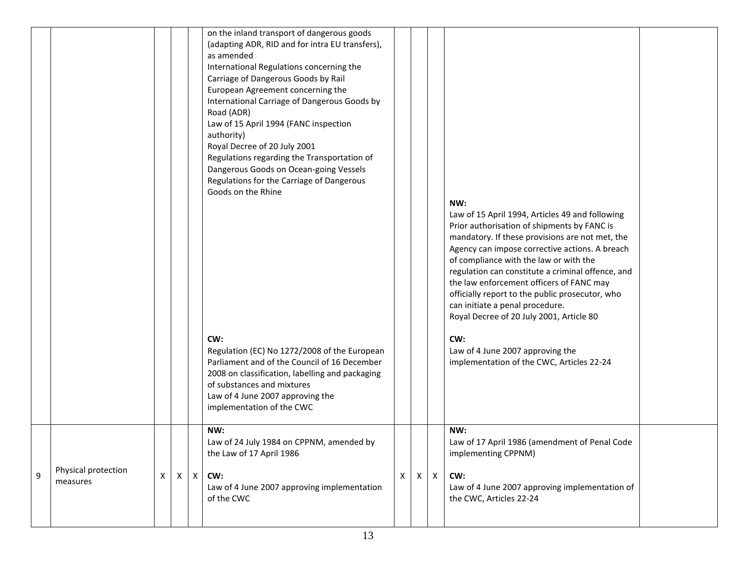|   |                                 |                |            | on the inland transport of dangerous goods<br>(adapting ADR, RID and for intra EU transfers),<br>as amended<br>International Regulations concerning the<br>Carriage of Dangerous Goods by Rail<br>European Agreement concerning the<br>International Carriage of Dangerous Goods by<br>Road (ADR)<br>Law of 15 April 1994 (FANC inspection<br>authority)<br>Royal Decree of 20 July 2001<br>Regulations regarding the Transportation of<br>Dangerous Goods on Ocean-going Vessels<br>Regulations for the Carriage of Dangerous<br>Goods on the Rhine<br>CW:<br>Regulation (EC) No 1272/2008 of the European<br>Parliament and of the Council of 16 December<br>2008 on classification, labelling and packaging<br>of substances and mixtures<br>Law of 4 June 2007 approving the<br>implementation of the CWC |   |   |              | NW:<br>Law of 15 April 1994, Articles 49 and following<br>Prior authorisation of shipments by FANC is<br>mandatory. If these provisions are not met, the<br>Agency can impose corrective actions. A breach<br>of compliance with the law or with the<br>regulation can constitute a criminal offence, and<br>the law enforcement officers of FANC may<br>officially report to the public prosecutor, who<br>can initiate a penal procedure.<br>Royal Decree of 20 July 2001, Article 80<br>CW:<br>Law of 4 June 2007 approving the<br>implementation of the CWC, Articles 22-24 |  |
|---|---------------------------------|----------------|------------|---------------------------------------------------------------------------------------------------------------------------------------------------------------------------------------------------------------------------------------------------------------------------------------------------------------------------------------------------------------------------------------------------------------------------------------------------------------------------------------------------------------------------------------------------------------------------------------------------------------------------------------------------------------------------------------------------------------------------------------------------------------------------------------------------------------|---|---|--------------|---------------------------------------------------------------------------------------------------------------------------------------------------------------------------------------------------------------------------------------------------------------------------------------------------------------------------------------------------------------------------------------------------------------------------------------------------------------------------------------------------------------------------------------------------------------------------------|--|
| 9 | Physical protection<br>measures | $\pmb{\times}$ | $X \mid X$ | NW:<br>Law of 24 July 1984 on CPPNM, amended by<br>the Law of 17 April 1986<br>CW:<br>Law of 4 June 2007 approving implementation<br>of the CWC                                                                                                                                                                                                                                                                                                                                                                                                                                                                                                                                                                                                                                                               | X | X | $\mathsf{X}$ | NW:<br>Law of 17 April 1986 (amendment of Penal Code<br>implementing CPPNM)<br>CW:<br>Law of 4 June 2007 approving implementation of<br>the CWC, Articles 22-24                                                                                                                                                                                                                                                                                                                                                                                                                 |  |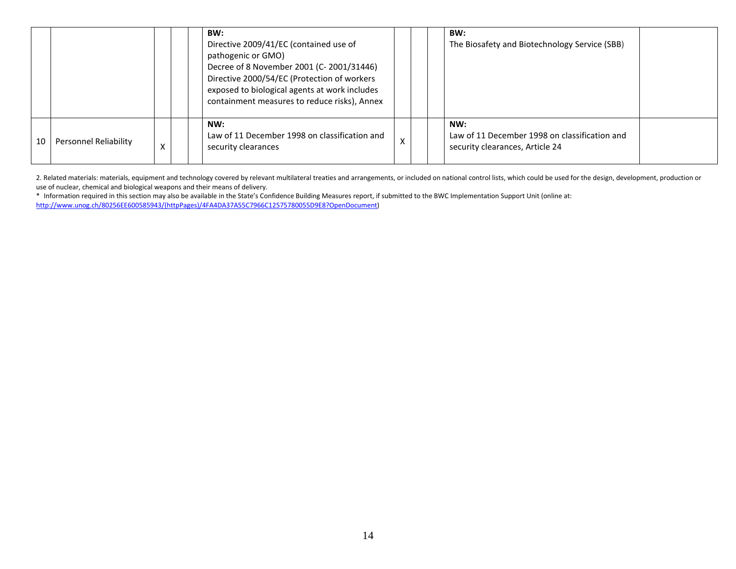|    |                       |   | BW:<br>Directive 2009/41/EC (contained use of<br>pathogenic or GMO)<br>Decree of 8 November 2001 (C-2001/31446)<br>Directive 2000/54/EC (Protection of workers<br>exposed to biological agents at work includes<br>containment measures to reduce risks), Annex |   |  | BW:<br>The Biosafety and Biotechnology Service (SBB)                                    |  |
|----|-----------------------|---|-----------------------------------------------------------------------------------------------------------------------------------------------------------------------------------------------------------------------------------------------------------------|---|--|-----------------------------------------------------------------------------------------|--|
| 10 | Personnel Reliability | X | NW:<br>Law of 11 December 1998 on classification and<br>security clearances                                                                                                                                                                                     | X |  | NW:<br>Law of 11 December 1998 on classification and<br>security clearances, Article 24 |  |

2. Related materials: materials, equipment and technology covered by relevant multilateral treaties and arrangements, or included on national control lists, which could be used for the design, development, production or use of nuclear, chemical and biological weapons and their means of delivery.

\* Information required in this section may also be available in the State's Confidence Building Measures report, if submitted to the BWC Implementation Support Unit (online at: [http://www.unog.ch/80256EE600585943/\(httpPages\)/4FA4DA37A55C7966C12575780055D9E8?OpenDocument\)](http://www.unog.ch/80256EE600585943/(httpPages)/4FA4DA37A55C7966C12575780055D9E8?OpenDocument)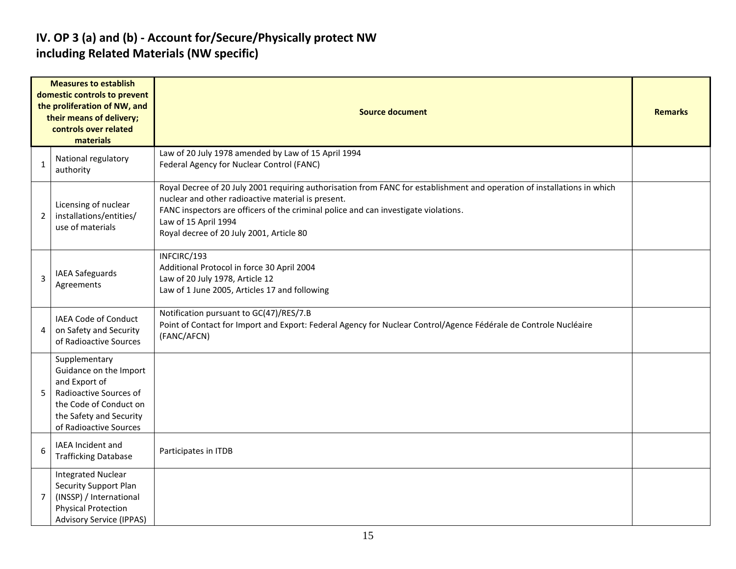#### **IV. OP 3 (a) and (b) - Account for/Secure/Physically protect NW including Related Materials (NW specific)**

|                | <b>Measures to establish</b><br>domestic controls to prevent<br>the proliferation of NW, and<br>their means of delivery;<br>controls over related<br>materials    | <b>Source document</b>                                                                                                                                                                                                                                                                                                                    |  |  |  |  |  |  |  |
|----------------|-------------------------------------------------------------------------------------------------------------------------------------------------------------------|-------------------------------------------------------------------------------------------------------------------------------------------------------------------------------------------------------------------------------------------------------------------------------------------------------------------------------------------|--|--|--|--|--|--|--|
|                | National regulatory<br>authority                                                                                                                                  | Law of 20 July 1978 amended by Law of 15 April 1994<br>Federal Agency for Nuclear Control (FANC)                                                                                                                                                                                                                                          |  |  |  |  |  |  |  |
| 2              | Licensing of nuclear<br>installations/entities/<br>use of materials                                                                                               | Royal Decree of 20 July 2001 requiring authorisation from FANC for establishment and operation of installations in which<br>nuclear and other radioactive material is present.<br>FANC inspectors are officers of the criminal police and can investigate violations.<br>Law of 15 April 1994<br>Royal decree of 20 July 2001, Article 80 |  |  |  |  |  |  |  |
| 3              | IAEA Safeguards<br>Agreements                                                                                                                                     | INFCIRC/193<br>Additional Protocol in force 30 April 2004<br>Law of 20 July 1978, Article 12<br>Law of 1 June 2005, Articles 17 and following                                                                                                                                                                                             |  |  |  |  |  |  |  |
| 4              | <b>IAEA Code of Conduct</b><br>on Safety and Security<br>of Radioactive Sources                                                                                   | Notification pursuant to GC(47)/RES/7.B<br>Point of Contact for Import and Export: Federal Agency for Nuclear Control/Agence Fédérale de Controle Nucléaire<br>(FANC/AFCN)                                                                                                                                                                |  |  |  |  |  |  |  |
| 5              | Supplementary<br>Guidance on the Import<br>and Export of<br>Radioactive Sources of<br>the Code of Conduct on<br>the Safety and Security<br>of Radioactive Sources |                                                                                                                                                                                                                                                                                                                                           |  |  |  |  |  |  |  |
| 6              | IAEA Incident and<br><b>Trafficking Database</b>                                                                                                                  | Participates in ITDB                                                                                                                                                                                                                                                                                                                      |  |  |  |  |  |  |  |
| $\overline{7}$ | <b>Integrated Nuclear</b><br><b>Security Support Plan</b><br>(INSSP) / International<br><b>Physical Protection</b><br><b>Advisory Service (IPPAS)</b>             |                                                                                                                                                                                                                                                                                                                                           |  |  |  |  |  |  |  |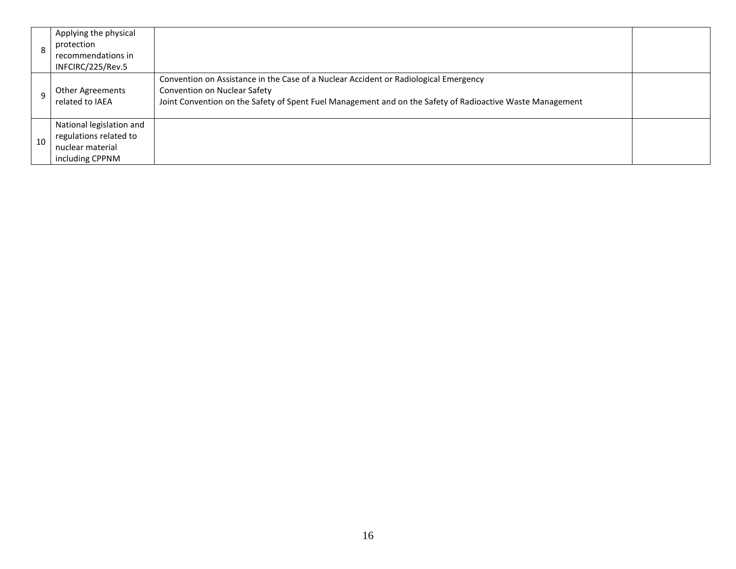| 8  | Applying the physical<br>protection<br>recommendations in<br>INFCIRC/225/Rev.5            |                                                                                                                                                                                                                                   |  |
|----|-------------------------------------------------------------------------------------------|-----------------------------------------------------------------------------------------------------------------------------------------------------------------------------------------------------------------------------------|--|
|    | Other Agreements<br>related to IAEA                                                       | Convention on Assistance in the Case of a Nuclear Accident or Radiological Emergency<br>Convention on Nuclear Safety<br>Joint Convention on the Safety of Spent Fuel Management and on the Safety of Radioactive Waste Management |  |
| 10 | National legislation and<br>regulations related to<br>nuclear material<br>including CPPNM |                                                                                                                                                                                                                                   |  |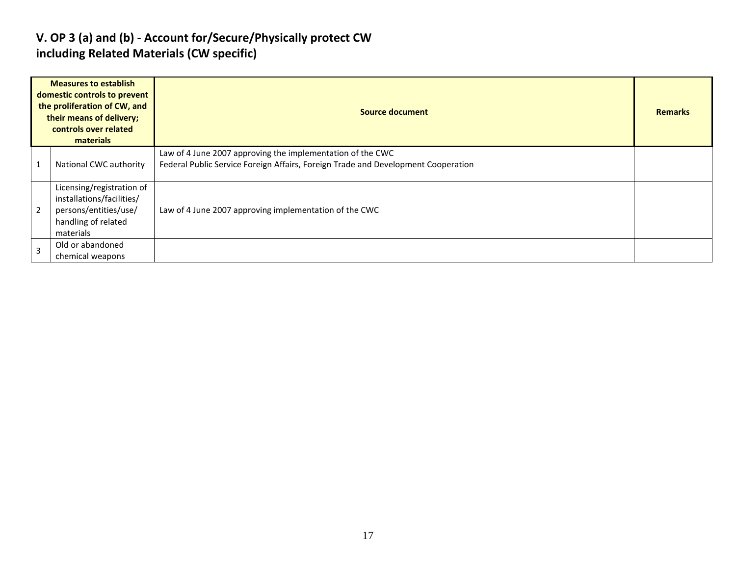#### **V. OP 3 (a) and (b) - Account for/Secure/Physically protect CW including Related Materials (CW specific)**

|                | <b>Measures to establish</b><br>domestic controls to prevent<br>the proliferation of CW, and<br>their means of delivery;<br>controls over related<br>materials | Source document                                                                                                                                 | <b>Remarks</b> |
|----------------|----------------------------------------------------------------------------------------------------------------------------------------------------------------|-------------------------------------------------------------------------------------------------------------------------------------------------|----------------|
|                | National CWC authority                                                                                                                                         | Law of 4 June 2007 approving the implementation of the CWC<br>Federal Public Service Foreign Affairs, Foreign Trade and Development Cooperation |                |
| $\overline{2}$ | Licensing/registration of<br>installations/facilities/<br>persons/entities/use/<br>handling of related<br>materials                                            | Law of 4 June 2007 approving implementation of the CWC                                                                                          |                |
| $\overline{3}$ | Old or abandoned<br>chemical weapons                                                                                                                           |                                                                                                                                                 |                |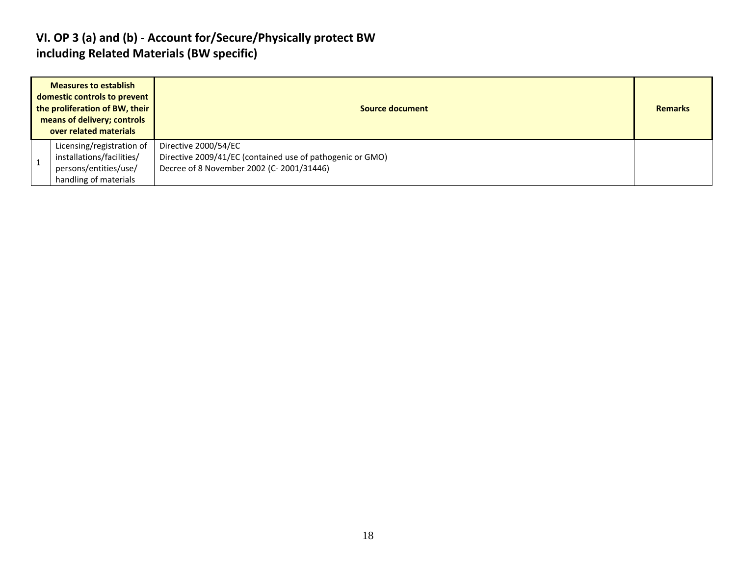#### **VI. OP 3 (a) and (b) - Account for/Secure/Physically protect BW including Related Materials (BW specific)**

| <b>Measures to establish</b><br>domestic controls to prevent<br>the proliferation of BW, their<br>means of delivery; controls<br>over related materials | Source document                                                                                                               | <b>Remarks</b> |
|---------------------------------------------------------------------------------------------------------------------------------------------------------|-------------------------------------------------------------------------------------------------------------------------------|----------------|
| Licensing/registration of<br>installations/facilities/<br>persons/entities/use/<br>handling of materials                                                | Directive 2000/54/EC<br>Directive 2009/41/EC (contained use of pathogenic or GMO)<br>Decree of 8 November 2002 (C-2001/31446) |                |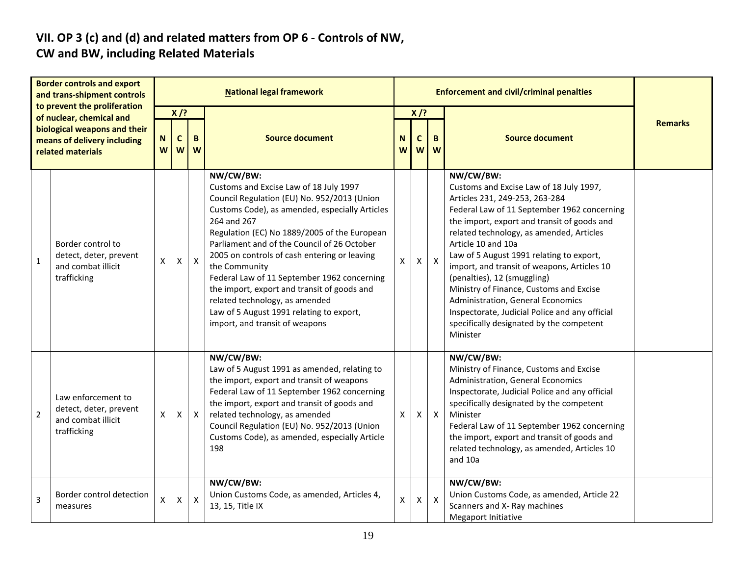# **VII. OP 3 (c) and (d) and related matters from OP 6 - Controls of NW,**

#### **CW and BW, including Related Materials**

|                | <b>Border controls and export</b><br>and trans-shipment controls                  |        |                            |              | <b>National legal framework</b>                                                                                                                                                                                                                                                                                                                                                                                                                                                                                                                   |        |                                                 | <b>Enforcement and civil/criminal penalties</b> |                                                                                                                                                                                                                                                                                                                                                                                                                                                                                                                                                                            |  |
|----------------|-----------------------------------------------------------------------------------|--------|----------------------------|--------------|---------------------------------------------------------------------------------------------------------------------------------------------------------------------------------------------------------------------------------------------------------------------------------------------------------------------------------------------------------------------------------------------------------------------------------------------------------------------------------------------------------------------------------------------------|--------|-------------------------------------------------|-------------------------------------------------|----------------------------------------------------------------------------------------------------------------------------------------------------------------------------------------------------------------------------------------------------------------------------------------------------------------------------------------------------------------------------------------------------------------------------------------------------------------------------------------------------------------------------------------------------------------------------|--|
|                | to prevent the proliferation<br>of nuclear, chemical and                          |        | $X$ /?                     |              |                                                                                                                                                                                                                                                                                                                                                                                                                                                                                                                                                   | $X$ /? |                                                 |                                                 |                                                                                                                                                                                                                                                                                                                                                                                                                                                                                                                                                                            |  |
|                | biological weapons and their<br>means of delivery including<br>related materials  | N<br>W | $\mathbf c$<br>B<br>W<br>W |              | <b>Source document</b>                                                                                                                                                                                                                                                                                                                                                                                                                                                                                                                            |        | <b>Source document</b><br>B<br>C<br>W<br>W<br>W |                                                 | <b>Remarks</b>                                                                                                                                                                                                                                                                                                                                                                                                                                                                                                                                                             |  |
| $\mathbf{1}$   | Border control to<br>detect, deter, prevent<br>and combat illicit<br>trafficking  | X      | $\mathsf{X}$               | $\mathsf{X}$ | NW/CW/BW:<br>Customs and Excise Law of 18 July 1997<br>Council Regulation (EU) No. 952/2013 (Union<br>Customs Code), as amended, especially Articles<br>264 and 267<br>Regulation (EC) No 1889/2005 of the European<br>Parliament and of the Council of 26 October<br>2005 on controls of cash entering or leaving<br>the Community<br>Federal Law of 11 September 1962 concerning<br>the import, export and transit of goods and<br>related technology, as amended<br>Law of 5 August 1991 relating to export,<br>import, and transit of weapons | X      | $\mathsf{X}$                                    | $\mathsf{X}$                                    | NW/CW/BW:<br>Customs and Excise Law of 18 July 1997,<br>Articles 231, 249-253, 263-284<br>Federal Law of 11 September 1962 concerning<br>the import, export and transit of goods and<br>related technology, as amended, Articles<br>Article 10 and 10a<br>Law of 5 August 1991 relating to export,<br>import, and transit of weapons, Articles 10<br>(penalties), 12 (smuggling)<br>Ministry of Finance, Customs and Excise<br>Administration, General Economics<br>Inspectorate, Judicial Police and any official<br>specifically designated by the competent<br>Minister |  |
| $\overline{2}$ | Law enforcement to<br>detect, deter, prevent<br>and combat illicit<br>trafficking | X      | X                          | $\mathsf{X}$ | NW/CW/BW:<br>Law of 5 August 1991 as amended, relating to<br>the import, export and transit of weapons<br>Federal Law of 11 September 1962 concerning<br>the import, export and transit of goods and<br>related technology, as amended<br>Council Regulation (EU) No. 952/2013 (Union<br>Customs Code), as amended, especially Article<br>198                                                                                                                                                                                                     | X      | X                                               | $\mathsf{X}$                                    | NW/CW/BW:<br>Ministry of Finance, Customs and Excise<br>Administration, General Economics<br>Inspectorate, Judicial Police and any official<br>specifically designated by the competent<br>Minister<br>Federal Law of 11 September 1962 concerning<br>the import, export and transit of goods and<br>related technology, as amended, Articles 10<br>and 10a                                                                                                                                                                                                                |  |
| 3              | Border control detection<br>measures                                              | X      | $\pmb{\times}$             | $\mathsf{X}$ | NW/CW/BW:<br>Union Customs Code, as amended, Articles 4,<br>13, 15, Title IX                                                                                                                                                                                                                                                                                                                                                                                                                                                                      | Χ      | X                                               | $\pmb{\times}$                                  | NW/CW/BW:<br>Union Customs Code, as amended, Article 22<br>Scanners and X- Ray machines<br>Megaport Initiative                                                                                                                                                                                                                                                                                                                                                                                                                                                             |  |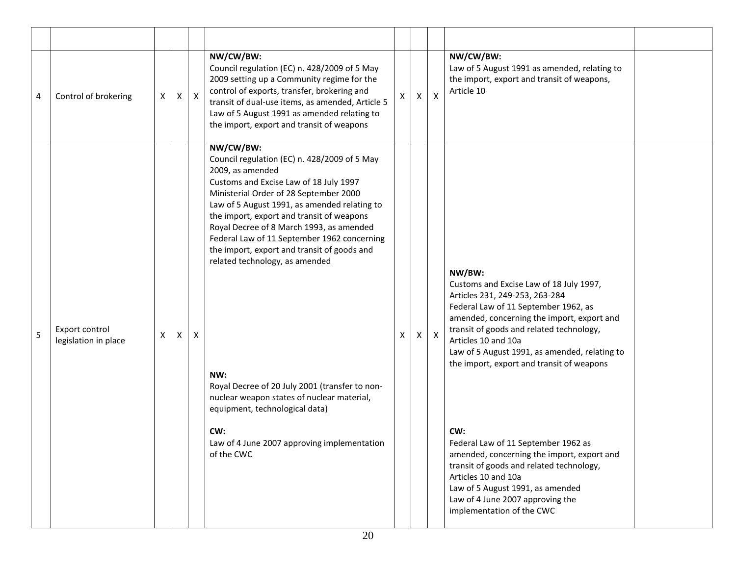| $\overline{4}$ | Control of brokering                   | X | X | $\mathsf{X}$ | NW/CW/BW:<br>Council regulation (EC) n. 428/2009 of 5 May<br>2009 setting up a Community regime for the<br>control of exports, transfer, brokering and<br>transit of dual-use items, as amended, Article 5<br>Law of 5 August 1991 as amended relating to<br>the import, export and transit of weapons                                                                                                                                                                                                                                                                                                                                                  | X | Χ  | $\boldsymbol{\mathsf{X}}$ | NW/CW/BW:<br>Law of 5 August 1991 as amended, relating to<br>the import, export and transit of weapons,<br>Article 10                                                                                                                                                                                                                                                                                                                                                                                                                                                                                          |  |
|----------------|----------------------------------------|---|---|--------------|---------------------------------------------------------------------------------------------------------------------------------------------------------------------------------------------------------------------------------------------------------------------------------------------------------------------------------------------------------------------------------------------------------------------------------------------------------------------------------------------------------------------------------------------------------------------------------------------------------------------------------------------------------|---|----|---------------------------|----------------------------------------------------------------------------------------------------------------------------------------------------------------------------------------------------------------------------------------------------------------------------------------------------------------------------------------------------------------------------------------------------------------------------------------------------------------------------------------------------------------------------------------------------------------------------------------------------------------|--|
| 5              | Export control<br>legislation in place | X | Χ | X            | NW/CW/BW:<br>Council regulation (EC) n. 428/2009 of 5 May<br>2009, as amended<br>Customs and Excise Law of 18 July 1997<br>Ministerial Order of 28 September 2000<br>Law of 5 August 1991, as amended relating to<br>the import, export and transit of weapons<br>Royal Decree of 8 March 1993, as amended<br>Federal Law of 11 September 1962 concerning<br>the import, export and transit of goods and<br>related technology, as amended<br>NW:<br>Royal Decree of 20 July 2001 (transfer to non-<br>nuclear weapon states of nuclear material,<br>equipment, technological data)<br>CW:<br>Law of 4 June 2007 approving implementation<br>of the CWC | X | X. | $\mathsf{X}$              | NW/BW:<br>Customs and Excise Law of 18 July 1997,<br>Articles 231, 249-253, 263-284<br>Federal Law of 11 September 1962, as<br>amended, concerning the import, export and<br>transit of goods and related technology,<br>Articles 10 and 10a<br>Law of 5 August 1991, as amended, relating to<br>the import, export and transit of weapons<br>CW:<br>Federal Law of 11 September 1962 as<br>amended, concerning the import, export and<br>transit of goods and related technology,<br>Articles 10 and 10a<br>Law of 5 August 1991, as amended<br>Law of 4 June 2007 approving the<br>implementation of the CWC |  |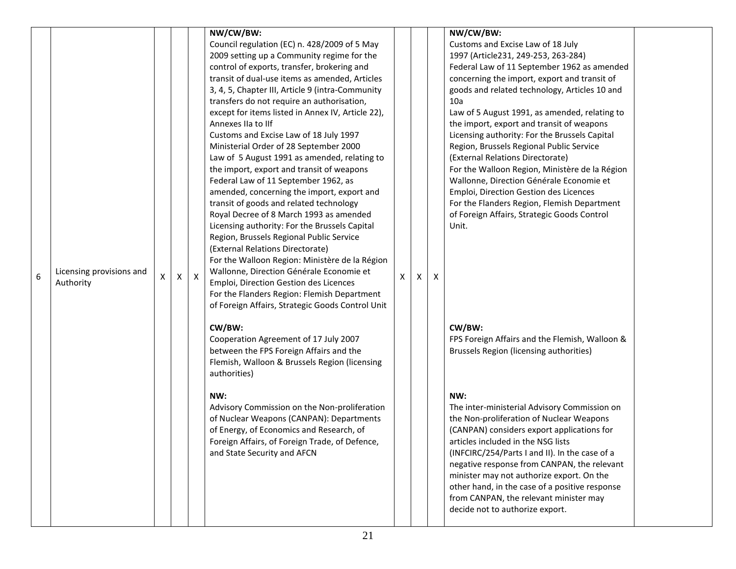|   |                          |   |    |          | NW/CW/BW:                                         |    |   |   | NW/CW/BW:                                      |  |
|---|--------------------------|---|----|----------|---------------------------------------------------|----|---|---|------------------------------------------------|--|
|   |                          |   |    |          | Council regulation (EC) n. 428/2009 of 5 May      |    |   |   | Customs and Excise Law of 18 July              |  |
|   |                          |   |    |          | 2009 setting up a Community regime for the        |    |   |   | 1997 (Article231, 249-253, 263-284)            |  |
|   |                          |   |    |          | control of exports, transfer, brokering and       |    |   |   | Federal Law of 11 September 1962 as amended    |  |
|   |                          |   |    |          | transit of dual-use items as amended, Articles    |    |   |   | concerning the import, export and transit of   |  |
|   |                          |   |    |          | 3, 4, 5, Chapter III, Article 9 (intra-Community  |    |   |   | goods and related technology, Articles 10 and  |  |
|   |                          |   |    |          | transfers do not require an authorisation,        |    |   |   | 10a                                            |  |
|   |                          |   |    |          | except for items listed in Annex IV, Article 22), |    |   |   | Law of 5 August 1991, as amended, relating to  |  |
|   |                          |   |    |          | Annexes IIa to IIf                                |    |   |   | the import, export and transit of weapons      |  |
|   |                          |   |    |          | Customs and Excise Law of 18 July 1997            |    |   |   | Licensing authority: For the Brussels Capital  |  |
|   |                          |   |    |          | Ministerial Order of 28 September 2000            |    |   |   | Region, Brussels Regional Public Service       |  |
|   |                          |   |    |          | Law of 5 August 1991 as amended, relating to      |    |   |   | (External Relations Directorate)               |  |
|   |                          |   |    |          | the import, export and transit of weapons         |    |   |   | For the Walloon Region, Ministère de la Région |  |
|   |                          |   |    |          | Federal Law of 11 September 1962, as              |    |   |   | Wallonne, Direction Générale Economie et       |  |
|   |                          |   |    |          | amended, concerning the import, export and        |    |   |   | Emploi, Direction Gestion des Licences         |  |
|   |                          |   |    |          | transit of goods and related technology           |    |   |   | For the Flanders Region, Flemish Department    |  |
|   |                          |   |    |          | Royal Decree of 8 March 1993 as amended           |    |   |   | of Foreign Affairs, Strategic Goods Control    |  |
|   |                          |   |    |          | Licensing authority: For the Brussels Capital     |    |   |   | Unit.                                          |  |
|   |                          |   |    |          | Region, Brussels Regional Public Service          |    |   |   |                                                |  |
|   |                          |   |    |          | (External Relations Directorate)                  |    |   |   |                                                |  |
|   |                          |   |    |          | For the Walloon Region: Ministère de la Région    |    |   |   |                                                |  |
|   | Licensing provisions and |   |    |          | Wallonne, Direction Générale Economie et          |    |   |   |                                                |  |
| 6 | Authority                | x | X. | $\times$ | Emploi, Direction Gestion des Licences            | x. | X | X |                                                |  |
|   |                          |   |    |          | For the Flanders Region: Flemish Department       |    |   |   |                                                |  |
|   |                          |   |    |          | of Foreign Affairs, Strategic Goods Control Unit  |    |   |   |                                                |  |
|   |                          |   |    |          | CW/BW:                                            |    |   |   | CW/BW:                                         |  |
|   |                          |   |    |          | Cooperation Agreement of 17 July 2007             |    |   |   | FPS Foreign Affairs and the Flemish, Walloon & |  |
|   |                          |   |    |          | between the FPS Foreign Affairs and the           |    |   |   | Brussels Region (licensing authorities)        |  |
|   |                          |   |    |          | Flemish, Walloon & Brussels Region (licensing     |    |   |   |                                                |  |
|   |                          |   |    |          | authorities)                                      |    |   |   |                                                |  |
|   |                          |   |    |          |                                                   |    |   |   |                                                |  |
|   |                          |   |    |          | NW:                                               |    |   |   | NW:                                            |  |
|   |                          |   |    |          | Advisory Commission on the Non-proliferation      |    |   |   | The inter-ministerial Advisory Commission on   |  |
|   |                          |   |    |          | of Nuclear Weapons (CANPAN): Departments          |    |   |   | the Non-proliferation of Nuclear Weapons       |  |
|   |                          |   |    |          | of Energy, of Economics and Research, of          |    |   |   | (CANPAN) considers export applications for     |  |
|   |                          |   |    |          | Foreign Affairs, of Foreign Trade, of Defence,    |    |   |   | articles included in the NSG lists             |  |
|   |                          |   |    |          | and State Security and AFCN                       |    |   |   | (INFCIRC/254/Parts I and II). In the case of a |  |
|   |                          |   |    |          |                                                   |    |   |   | negative response from CANPAN, the relevant    |  |
|   |                          |   |    |          |                                                   |    |   |   | minister may not authorize export. On the      |  |
|   |                          |   |    |          |                                                   |    |   |   | other hand, in the case of a positive response |  |
|   |                          |   |    |          |                                                   |    |   |   | from CANPAN, the relevant minister may         |  |
|   |                          |   |    |          |                                                   |    |   |   | decide not to authorize export.                |  |
|   |                          |   |    |          |                                                   |    |   |   |                                                |  |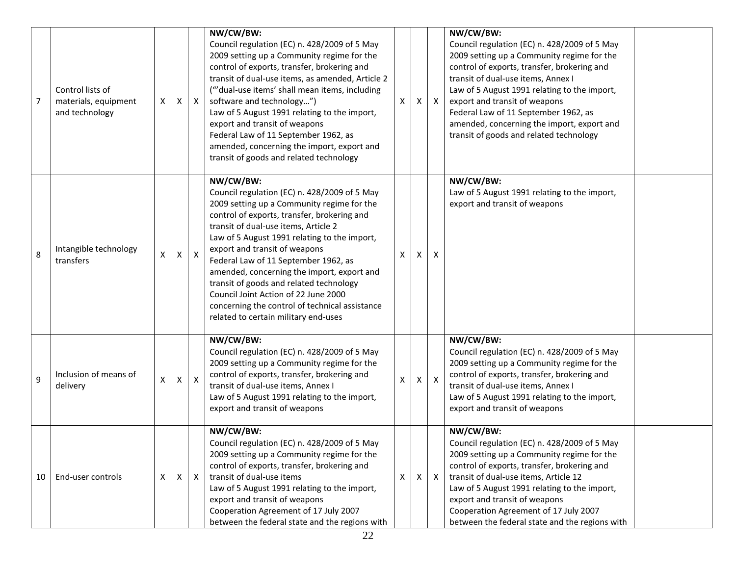| $\overline{7}$ | Control lists of<br>materials, equipment<br>and technology | X | X | X                         | NW/CW/BW:<br>Council regulation (EC) n. 428/2009 of 5 May<br>2009 setting up a Community regime for the<br>control of exports, transfer, brokering and<br>transit of dual-use items, as amended, Article 2<br>("'dual-use items' shall mean items, including<br>software and technology")<br>Law of 5 August 1991 relating to the import,<br>export and transit of weapons<br>Federal Law of 11 September 1962, as<br>amended, concerning the import, export and<br>transit of goods and related technology                                        | X | X | $\mathsf{X}$              | NW/CW/BW:<br>Council regulation (EC) n. 428/2009 of 5 May<br>2009 setting up a Community regime for the<br>control of exports, transfer, brokering and<br>transit of dual-use items, Annex I<br>Law of 5 August 1991 relating to the import,<br>export and transit of weapons<br>Federal Law of 11 September 1962, as<br>amended, concerning the import, export and<br>transit of goods and related technology |  |
|----------------|------------------------------------------------------------|---|---|---------------------------|----------------------------------------------------------------------------------------------------------------------------------------------------------------------------------------------------------------------------------------------------------------------------------------------------------------------------------------------------------------------------------------------------------------------------------------------------------------------------------------------------------------------------------------------------|---|---|---------------------------|----------------------------------------------------------------------------------------------------------------------------------------------------------------------------------------------------------------------------------------------------------------------------------------------------------------------------------------------------------------------------------------------------------------|--|
| 8              | Intangible technology<br>transfers                         | X | X | X                         | NW/CW/BW:<br>Council regulation (EC) n. 428/2009 of 5 May<br>2009 setting up a Community regime for the<br>control of exports, transfer, brokering and<br>transit of dual-use items, Article 2<br>Law of 5 August 1991 relating to the import,<br>export and transit of weapons<br>Federal Law of 11 September 1962, as<br>amended, concerning the import, export and<br>transit of goods and related technology<br>Council Joint Action of 22 June 2000<br>concerning the control of technical assistance<br>related to certain military end-uses | X | X | X                         | NW/CW/BW:<br>Law of 5 August 1991 relating to the import,<br>export and transit of weapons                                                                                                                                                                                                                                                                                                                     |  |
| 9              | Inclusion of means of<br>delivery                          | X | X | $\boldsymbol{\mathsf{X}}$ | NW/CW/BW:<br>Council regulation (EC) n. 428/2009 of 5 May<br>2009 setting up a Community regime for the<br>control of exports, transfer, brokering and<br>transit of dual-use items, Annex I<br>Law of 5 August 1991 relating to the import,<br>export and transit of weapons                                                                                                                                                                                                                                                                      | X | X | $\boldsymbol{\mathsf{X}}$ | NW/CW/BW:<br>Council regulation (EC) n. 428/2009 of 5 May<br>2009 setting up a Community regime for the<br>control of exports, transfer, brokering and<br>transit of dual-use items, Annex I<br>Law of 5 August 1991 relating to the import,<br>export and transit of weapons                                                                                                                                  |  |
| 10             | End-user controls                                          | Χ | X | $\mathsf{X}$              | NW/CW/BW:<br>Council regulation (EC) n. 428/2009 of 5 May<br>2009 setting up a Community regime for the<br>control of exports, transfer, brokering and<br>transit of dual-use items<br>Law of 5 August 1991 relating to the import,<br>export and transit of weapons<br>Cooperation Agreement of 17 July 2007<br>between the federal state and the regions with                                                                                                                                                                                    | X | X | $\mathsf{X}$              | NW/CW/BW:<br>Council regulation (EC) n. 428/2009 of 5 May<br>2009 setting up a Community regime for the<br>control of exports, transfer, brokering and<br>transit of dual-use items, Article 12<br>Law of 5 August 1991 relating to the import,<br>export and transit of weapons<br>Cooperation Agreement of 17 July 2007<br>between the federal state and the regions with                                    |  |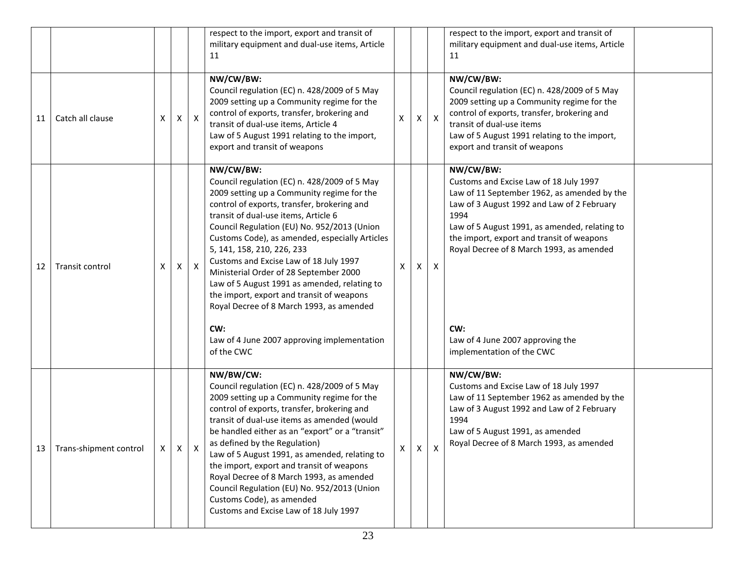|    |                        |                |   |              | respect to the import, export and transit of<br>military equipment and dual-use items, Article<br>11                                                                                                                                                                                                                                                                                                                                                                                                                                                                                                                           |   |   |          | respect to the import, export and transit of<br>military equipment and dual-use items, Article<br>11                                                                                                                                                                                                                                                                       |  |
|----|------------------------|----------------|---|--------------|--------------------------------------------------------------------------------------------------------------------------------------------------------------------------------------------------------------------------------------------------------------------------------------------------------------------------------------------------------------------------------------------------------------------------------------------------------------------------------------------------------------------------------------------------------------------------------------------------------------------------------|---|---|----------|----------------------------------------------------------------------------------------------------------------------------------------------------------------------------------------------------------------------------------------------------------------------------------------------------------------------------------------------------------------------------|--|
| 11 | Catch all clause       | X              | х | $\mathsf{X}$ | NW/CW/BW:<br>Council regulation (EC) n. 428/2009 of 5 May<br>2009 setting up a Community regime for the<br>control of exports, transfer, brokering and<br>transit of dual-use items, Article 4<br>Law of 5 August 1991 relating to the import,<br>export and transit of weapons                                                                                                                                                                                                                                                                                                                                                | х | х | X        | NW/CW/BW:<br>Council regulation (EC) n. 428/2009 of 5 May<br>2009 setting up a Community regime for the<br>control of exports, transfer, brokering and<br>transit of dual-use items<br>Law of 5 August 1991 relating to the import,<br>export and transit of weapons                                                                                                       |  |
| 12 | Transit control        | X              | X | $\mathsf{X}$ | NW/CW/BW:<br>Council regulation (EC) n. 428/2009 of 5 May<br>2009 setting up a Community regime for the<br>control of exports, transfer, brokering and<br>transit of dual-use items, Article 6<br>Council Regulation (EU) No. 952/2013 (Union<br>Customs Code), as amended, especially Articles<br>5, 141, 158, 210, 226, 233<br>Customs and Excise Law of 18 July 1997<br>Ministerial Order of 28 September 2000<br>Law of 5 August 1991 as amended, relating to<br>the import, export and transit of weapons<br>Royal Decree of 8 March 1993, as amended<br>CW:<br>Law of 4 June 2007 approving implementation<br>of the CWC | X | X | $\times$ | NW/CW/BW:<br>Customs and Excise Law of 18 July 1997<br>Law of 11 September 1962, as amended by the<br>Law of 3 August 1992 and Law of 2 February<br>1994<br>Law of 5 August 1991, as amended, relating to<br>the import, export and transit of weapons<br>Royal Decree of 8 March 1993, as amended<br>CW:<br>Law of 4 June 2007 approving the<br>implementation of the CWC |  |
| 13 | Trans-shipment control | $\mathsf{X}^-$ | X | X            | NW/BW/CW:<br>Council regulation (EC) n. 428/2009 of 5 May<br>2009 setting up a Community regime for the<br>control of exports, transfer, brokering and<br>transit of dual-use items as amended (would<br>be handled either as an "export" or a "transit"<br>as defined by the Regulation)<br>Law of 5 August 1991, as amended, relating to<br>the import, export and transit of weapons<br>Royal Decree of 8 March 1993, as amended<br>Council Regulation (EU) No. 952/2013 (Union<br>Customs Code), as amended<br>Customs and Excise Law of 18 July 1997                                                                      | X | X |          | NW/CW/BW:<br>Customs and Excise Law of 18 July 1997<br>Law of 11 September 1962 as amended by the<br>Law of 3 August 1992 and Law of 2 February<br>1994<br>Law of 5 August 1991, as amended<br>Royal Decree of 8 March 1993, as amended                                                                                                                                    |  |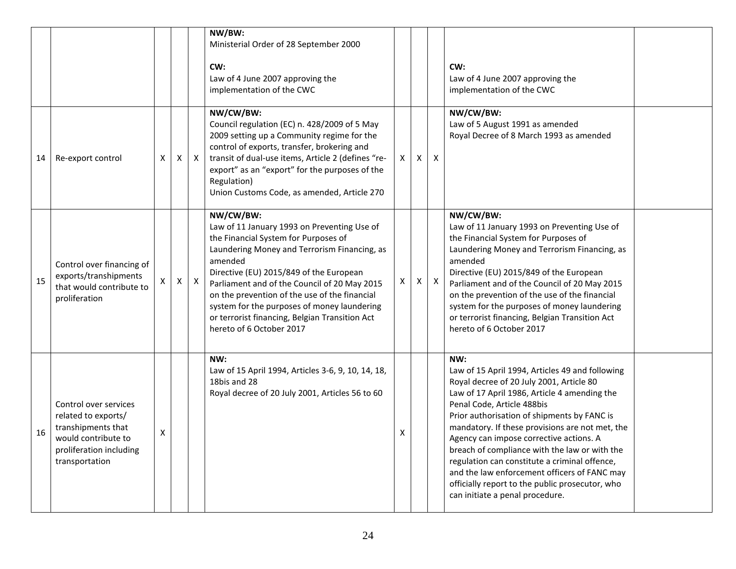|    |                                                                                                                                        |   |              |              | NW/BW:<br>Ministerial Order of 28 September 2000<br>CW:<br>Law of 4 June 2007 approving the<br>implementation of the CWC                                                                                                                                                                                                                                                                                                             |    |   |                           | CW:<br>Law of 4 June 2007 approving the<br>implementation of the CWC                                                                                                                                                                                                                                                                                                                                                                                                                                                                                                  |  |
|----|----------------------------------------------------------------------------------------------------------------------------------------|---|--------------|--------------|--------------------------------------------------------------------------------------------------------------------------------------------------------------------------------------------------------------------------------------------------------------------------------------------------------------------------------------------------------------------------------------------------------------------------------------|----|---|---------------------------|-----------------------------------------------------------------------------------------------------------------------------------------------------------------------------------------------------------------------------------------------------------------------------------------------------------------------------------------------------------------------------------------------------------------------------------------------------------------------------------------------------------------------------------------------------------------------|--|
| 14 | Re-export control                                                                                                                      | Χ | X            | $\mathsf{X}$ | NW/CW/BW:<br>Council regulation (EC) n. 428/2009 of 5 May<br>2009 setting up a Community regime for the<br>control of exports, transfer, brokering and<br>transit of dual-use items, Article 2 (defines "re-<br>export" as an "export" for the purposes of the<br>Regulation)<br>Union Customs Code, as amended, Article 270                                                                                                         | X. | X | $\mathsf{X}$              | NW/CW/BW:<br>Law of 5 August 1991 as amended<br>Royal Decree of 8 March 1993 as amended                                                                                                                                                                                                                                                                                                                                                                                                                                                                               |  |
| 15 | Control over financing of<br>exports/transhipments<br>that would contribute to<br>proliferation                                        | X | $\mathsf{X}$ | $\mathsf{X}$ | NW/CW/BW:<br>Law of 11 January 1993 on Preventing Use of<br>the Financial System for Purposes of<br>Laundering Money and Terrorism Financing, as<br>amended<br>Directive (EU) 2015/849 of the European<br>Parliament and of the Council of 20 May 2015<br>on the prevention of the use of the financial<br>system for the purposes of money laundering<br>or terrorist financing, Belgian Transition Act<br>hereto of 6 October 2017 | X  | X | $\boldsymbol{\mathsf{X}}$ | NW/CW/BW:<br>Law of 11 January 1993 on Preventing Use of<br>the Financial System for Purposes of<br>Laundering Money and Terrorism Financing, as<br>amended<br>Directive (EU) 2015/849 of the European<br>Parliament and of the Council of 20 May 2015<br>on the prevention of the use of the financial<br>system for the purposes of money laundering<br>or terrorist financing, Belgian Transition Act<br>hereto of 6 October 2017                                                                                                                                  |  |
| 16 | Control over services<br>related to exports/<br>transhipments that<br>would contribute to<br>proliferation including<br>transportation | Χ |              |              | NW:<br>Law of 15 April 1994, Articles 3-6, 9, 10, 14, 18,<br>18bis and 28<br>Royal decree of 20 July 2001, Articles 56 to 60                                                                                                                                                                                                                                                                                                         | х  |   |                           | NW:<br>Law of 15 April 1994, Articles 49 and following<br>Royal decree of 20 July 2001, Article 80<br>Law of 17 April 1986, Article 4 amending the<br>Penal Code, Article 488bis<br>Prior authorisation of shipments by FANC is<br>mandatory. If these provisions are not met, the<br>Agency can impose corrective actions. A<br>breach of compliance with the law or with the<br>regulation can constitute a criminal offence,<br>and the law enforcement officers of FANC may<br>officially report to the public prosecutor, who<br>can initiate a penal procedure. |  |